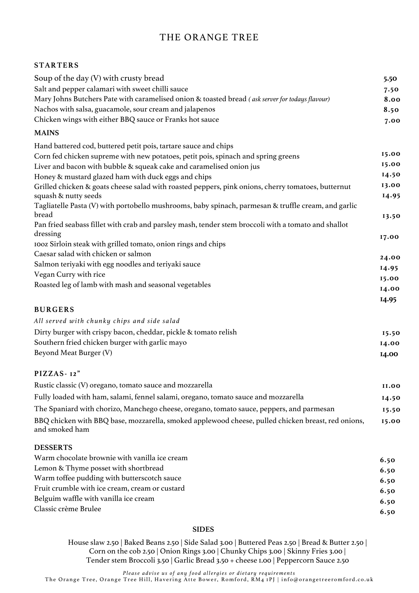# THE ORANGE TREE

#### **STARTERS**

| Soup of the day (V) with crusty bread                                                                                      | 5.50           |
|----------------------------------------------------------------------------------------------------------------------------|----------------|
| Salt and pepper calamari with sweet chilli sauce                                                                           | 7.50           |
| Mary Johns Butchers Pate with caramelised onion & toasted bread (ask server for todays flavour)                            | 8.00           |
| Nachos with salsa, guacamole, sour cream and jalapenos                                                                     | 8.50           |
| Chicken wings with either BBQ sauce or Franks hot sauce                                                                    | 7.00           |
| <b>MAINS</b>                                                                                                               |                |
| Hand battered cod, buttered petit pois, tartare sauce and chips                                                            |                |
| Corn fed chicken supreme with new potatoes, petit pois, spinach and spring greens                                          | 15.00          |
| Liver and bacon with bubble & squeak cake and caramelised onion jus                                                        | 15.00          |
| Honey & mustard glazed ham with duck eggs and chips                                                                        | 14.50          |
| Grilled chicken & goats cheese salad with roasted peppers, pink onions, cherry tomatoes, butternut<br>squash & nutty seeds | 13.00<br>14.95 |
| Tagliatelle Pasta (V) with portobello mushrooms, baby spinach, parmesan & truffle cream, and garlic<br>bread               | 13.50          |
| Pan fried seabass fillet with crab and parsley mash, tender stem broccoli with a tomato and shallot<br>dressing            | 17.00          |
| 100z Sirloin steak with grilled tomato, onion rings and chips                                                              |                |
| Caesar salad with chicken or salmon                                                                                        | 24.00          |
| Salmon teriyaki with egg noodles and teriyaki sauce                                                                        | 14.95          |
| Vegan Curry with rice                                                                                                      | 15.00          |
| Roasted leg of lamb with mash and seasonal vegetables                                                                      | 14.00          |
|                                                                                                                            | 14.95          |
| <b>BURGERS</b>                                                                                                             |                |
| All served with chunky chips and side salad                                                                                |                |
| Dirty burger with crispy bacon, cheddar, pickle & tomato relish                                                            | 15.50          |
| Southern fried chicken burger with garlic mayo                                                                             | 14.00          |
| <b>Beyond Meat Burger (V)</b>                                                                                              | 14.00          |
| PIZZAS-12"                                                                                                                 |                |
| Rustic classic (V) oregano, tomato sauce and mozzarella                                                                    | <b>II.00</b>   |
| Fully loaded with ham, salami, fennel salami, oregano, tomato sauce and mozzarella                                         | 14.50          |
| The Spaniard with chorizo, Manchego cheese, oregano, tomato sauce, peppers, and parmesan                                   | 15.50          |
| BBQ chicken with BBQ base, mozzarella, smoked applewood cheese, pulled chicken breast, red onions,<br>and smoked ham       | 15.00          |
| <b>DESSERTS</b>                                                                                                            |                |
| Warm chocolate brownie with vanilla ice cream                                                                              | 6.50           |

|                                                | v.,v |
|------------------------------------------------|------|
| Lemon & Thyme posset with shortbread           | 6.50 |
| Warm toffee pudding with butterscotch sauce    | 6.50 |
| Fruit crumble with ice cream, cream or custard | 6.50 |
| Belguim waffle with vanilla ice cream          | 6.50 |
| Classic crème Brulee                           | 6.50 |
|                                                |      |

## **SIDES**

House slaw 2.50 | Baked Beans 2.50 | Side Salad 3.00 | Buttered Peas 2.50 | Bread & Butter 2.50 | Corn on the cob 2.50 | Onion Rings 3.00 | Chunky Chips 3.00 | Skinny Fries 3.00 | Tender stem Broccoli 3.50 | Garlic Bread 3.50 + cheese 1.00 | Peppercorn Sauce 2.50